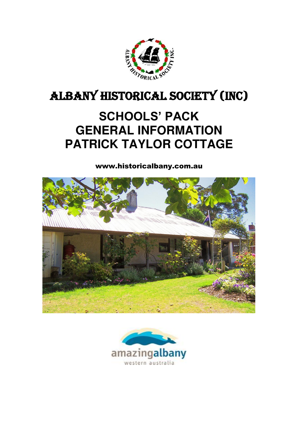

# ALBANY HISTORICAL SOCIETY (INC)

# **SCHOOLS' PACK GENERAL INFORMATION PATRICK TAYLOR COTTAGE**

www.historicalbany.com.au



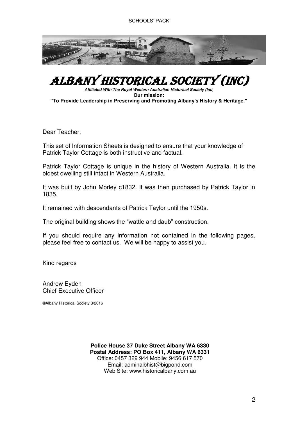

## ALBANY HISTORICAL SOCIETY (Inc)

*Affiliated With The Royal Western Australian Historical Society (Inc*) **Our mission: "To Provide Leadership in Preserving and Promoting Albany's History & Heritage."**

Dear Teacher,

This set of Information Sheets is designed to ensure that your knowledge of Patrick Taylor Cottage is both instructive and factual.

Patrick Taylor Cottage is unique in the history of Western Australia. It is the oldest dwelling still intact in Western Australia.

It was built by John Morley c1832. It was then purchased by Patrick Taylor in 1835.

It remained with descendants of Patrick Taylor until the 1950s.

The original building shows the "wattle and daub" construction.

If you should require any information not contained in the following pages, please feel free to contact us. We will be happy to assist you.

Kind regards

Andrew Eyden Chief Executive Officer

©Albany Historical Society 3/2016

Office: 0457 329 944 Mobile: 9456 617 570 Web Site: www.historicalbany.com.au **Police House 37 Duke Street Albany WA 6330 Postal Address: PO Box 411, Albany WA 6331**  Email: [adminalbhist@bigpond.com](mailto:adminalbhist@bigpond.com)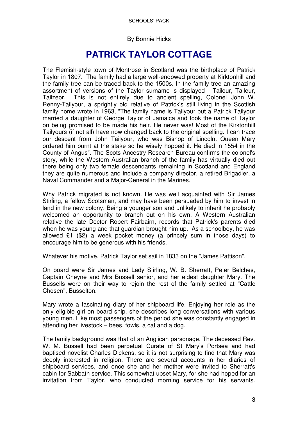#### By Bonnie Hicks

### **PATRICK TAYLOR COTTAGE**

The Flemish-style town of Montrose in Scotland was the birthplace of Patrick Taylor in 1807. The family had a large well-endowed property at Kirktonhill and the family tree can be traced back to the 1500s. In the family tree an amazing assortment of versions of the Taylor surname is displayed - Tailour, Taileur, Tailzeor. This is not entirely due to ancient spelling, Colonel John W. Renny-Tailyour, a sprightly old relative of Patrick's still living in the Scottish family home wrote in 1963, "The family name is Tailyour but a Patrick Tailyour married a daughter of George Taylor of Jamaica and took the name of Taylor on being promised to be made his heir. He never was! Most of the Kirktonhill Tailyours (if not all) have now changed back to the original spelling. I can trace our descent from John Tailyour, who was Bishop of Lincoln. Queen Mary ordered him burnt at the stake so he wisely hopped it. He died in 1554 in the County of Angus". The Scots Ancestry Research Bureau confirms the colonel's story, while the Western Australian branch of the family has virtually died out there being only two female descendants remaining in Scotland and England they are quite numerous and include a company director, a retired Brigadier, a Naval Commander and a Major-General in the Marines.

Why Patrick migrated is not known. He was well acquainted with Sir James Stirling, a fellow Scotsman, and may have been persuaded by him to invest in land in the new colony. Being a younger son and unlikely to inherit he probably welcomed an opportunity to branch out on his own. A Western Australian relative the late Doctor Robert Fairbairn, records that Patrick's parents died when he was young and that guardian brought him up. As a schoolboy, he was allowed £1 (\$2) a week pocket money (a princely sum in those days) to encourage him to be generous with his friends.

Whatever his motive, Patrick Taylor set sail in 1833 on the "James Pattison".

On board were Sir James and Lady Stirling, W. B. Sherratt, Peter Belches, Captain Cheyne and Mrs Bussell senior, and her eldest daughter Mary. The Bussells were on their way to rejoin the rest of the family settled at "Cattle Chosen", Busselton.

Mary wrote a fascinating diary of her shipboard life. Enjoying her role as the only eligible girl on board ship, she describes long conversations with various young men. Like most passengers of the period she was constantly engaged in attending her livestock – bees, fowls, a cat and a dog.

The family background was that of an Anglican parsonage. The deceased Rev. W. M. Bussell had been perpetual Curate of St Mary's Portsea and had baptised novelist Charles Dickens, so it is not surprising to find that Mary was deeply interested in religion. There are several accounts in her diaries of shipboard services, and once she and her mother were invited to Sherratt's cabin for Sabbath service. This somewhat upset Mary, for she had hoped for an invitation from Taylor, who conducted morning service for his servants.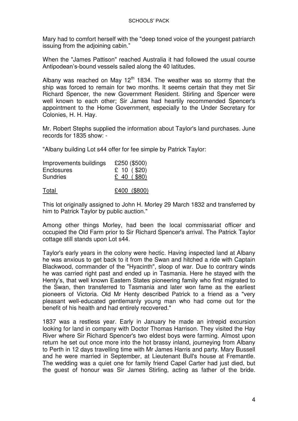Mary had to comfort herself with the "deep toned voice of the youngest patriarch issuing from the adjoining cabin."

When the "James Pattison" reached Australia it had followed the usual course Antipodean's-bound vessels sailed along the 40 latitudes.

Albany was reached on May  $12<sup>th</sup>$  1834. The weather was so stormy that the ship was forced to remain for two months. It seems certain that they met Sir Richard Spencer, the new Government Resident. Stirling and Spencer were well known to each other; Sir James had heartily recommended Spencer's appointment to the Home Government, especially to the Under Secretary for Colonies, H. H. Hay.

Mr. Robert Stephs supplied the information about Taylor's land purchases. June records for 1835 show: -

"Albany building Lot s44 offer for fee simple by Patrick Taylor:

| Improvements buildings | £250 (\$500)   |
|------------------------|----------------|
| Enclosures             | £ 10 ( $$20$ ) |
| <b>Sundries</b>        | £ 40 (. \$80)  |
| <b>Total</b>           | £400 (\$800)   |

This lot originally assigned to John H. Morley 29 March 1832 and transferred by him to Patrick Taylor by public auction."

Among other things Morley, had been the local commissariat officer and occupied the Old Farm prior to Sir Richard Spencer's arrival. The Patrick Taylor cottage still stands upon Lot s44.

Taylor's early years in the colony were hectic. Having inspected land at Albany he was anxious to get back to it from the Swan and hitched a ride with Captain Blackwood, commander of the "Hyacinth", sloop of war. Due to contrary winds he was carried right past and ended up in Tasmania. Here he stayed with the Henty's, that well known Eastern States pioneering family who first migrated to the Swan, then transferred to Tasmania and later won fame as the earliest pioneers of Victoria. Old Mr Henty described Patrick to a friend as a "very pleasant well-educated gentlemanly young man who had come out for the benefit of his health and had entirely recovered."

1837 was a restless year. Early in January he made an intrepid excursion looking for land in company with Doctor Thomas Harrison. They visited the Hay River where Sir Richard Spencer's two eldest boys were farming. Almost upon return he set out once more into the hot brassy inland, journeying from Albany to Perth in 12 days travelling time with Mr James Harris and party. Mary Bussell and he were married in September, at Lieutenant Bull's house at Fremantle. The wedding was a quiet one for family friend Capel Carter had just died, but the guest of honour was Sir James Stirling, acting as father of the bride.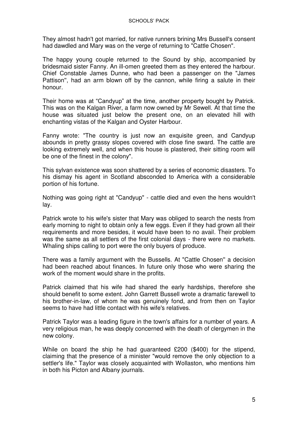They almost hadn't got married, for native runners brining Mrs Bussell's consent had dawdled and Mary was on the verge of returning to "Cattle Chosen".

The happy young couple returned to the Sound by ship, accompanied by bridesmaid sister Fanny. An ill-omen greeted them as they entered the harbour. Chief Constable James Dunne, who had been a passenger on the "James Pattison'', had an arm blown off by the cannon, while firing a salute in their honour.

Their home was at "Candyup" at the time, another property bought by Patrick. This was on the Kalgan River, a farm now owned by Mr Sewell. At that time the house was situated just below the present one, on an elevated hill with enchanting vistas of the Kalgan and Oyster Harbour.

Fanny wrote: "The country is just now an exquisite green, and Candyup abounds in pretty grassy slopes covered with close fine sward. The cattle are looking extremely well, and when this house is plastered, their sitting room will be one of the finest in the colony".

This sylvan existence was soon shattered by a series of economic disasters. To his dismay his agent in Scotland absconded to America with a considerable portion of his fortune.

Nothing was going right at "Candyup" - cattle died and even the hens wouldn't lay.

Patrick wrote to his wife's sister that Mary was obliged to search the nests from early morning to night to obtain only a few eggs. Even if they had grown all their requirements and more besides, it would have been to no avail. Their problem was the same as all settlers of the first colonial days - there were no markets. Whaling ships calling to port were the only buyers of produce.

There was a family argument with the Bussells. At "Cattle Chosen'' a decision had been reached about finances. In future only those who were sharing the work of the moment would share in the profits.

Patrick claimed that his wife had shared the early hardships, therefore she should benefit to some extent. John Garrett Bussell wrote a dramatic farewell to his brother-in-law, of whom he was genuinely fond, and from then on Taylor seems to have had little contact with his wife's relatives.

Patrick Taylor was a leading figure in the town's affairs for a number of years. A very religious man, he was deeply concerned with the death of clergymen in the new colony.

While on board the ship he had guaranteed £200 (\$400) for the stipend, claiming that the presence of a minister "would remove the only objection to a settler's life." Taylor was closely acquainted with Wollaston, who mentions him in both his Picton and Albany journals.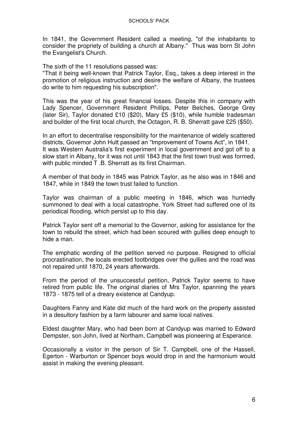In 1841, the Government Resident called a meeting, "of the inhabitants to consider the propriety of building a church at Albany." Thus was born St John the Evangelist's Church.

The sixth of the 11 resolutions passed was:

''That it being well-known that Patrick Taylor, Esq., takes a deep interest in the promotion of religious instruction and desire the welfare of Albany, the trustees do write to him requesting his subscription".

This was the year of his great financial losses. Despite this in company with Lady Spencer, Government Resident Phillips, Peter Belches, George Grey (later Sir), Taylor donated £10 (\$20), Mary £5 (\$10), while humble tradesman and builder of the first local church, the Octagon, R. B. Sherratt gave £25 (\$50).

In an effort to decentralise responsibility for the maintenance of widely scattered districts, Governor John Hutt passed an "Improvement of Towns Act", in 1841. It was Western Australia's first experiment in local government and got off to a slow start in Albany, for it was not until 1843 that the first town trust was formed, with public minded T .B. Sherratt as its first Chairman.

A member of that body in 1845 was Patrick Taylor, as he also was in 1846 and 1847, while in 1849 the town trust failed to function.

Taylor was chairman of a public meeting in 1846, which was hurriedly summoned to deal with a local catastrophe. York Street had suffered one of its periodical flooding, which persist up to this day.

Patrick Taylor sent off a memorial to the Governor, asking for assistance for the town to rebuild the street, which had been scoured with gullies deep enough to hide a man.

The emphatic wording of the petition served no purpose. Resigned to official procrastination, the locals erected footbridges over the gullies and the road was not repaired until 1870, 24 years afterwards.

From the period of the unsuccessful petition, Patrick Taylor seems to have retired from public life. The original diaries of Mrs Taylor, spanning the years 1873 - 1875 tell of a dreary existence at Candyup.

Daughters Fanny and Kate did much of the hard work on the property assisted in a desultory fashion by a farm labourer and same local natives.

Eldest daughter Mary, who had been born at Candyup was married to Edward Dempster, son John, lived at Northam, Campbell was pioneering at Esperance.

Occasionally a visitor in the person of Sir T. Campbell, one of the Hassell, Egerton - Warburton or Spencer boys would drop in and the harmonium would assist in making the evening pleasant.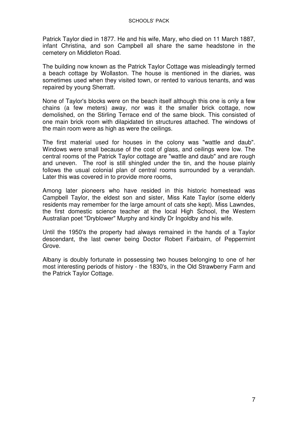Patrick Taylor died in 1877. He and his wife, Mary, who died on 11 March 1887, infant Christina, and son Campbell all share the same headstone in the cemetery on Middleton Road.

The building now known as the Patrick Taylor Cottage was misleadingly termed a beach cottage by Wollaston. The house is mentioned in the diaries, was sometimes used when they visited town, or rented to various tenants, and was repaired by young Sherratt.

None of Taylor's blocks were on the beach itself although this one is only a few chains (a few meters) away, nor was it the smaller brick cottage, now demolished, on the Stirling Terrace end of the same block. This consisted of one main brick room with dilapidated tin structures attached. The windows of the main room were as high as were the ceilings.

The first material used for houses in the colony was "wattle and daub". Windows were small because of the cost of glass, and ceilings were low. The central rooms of the Patrick Taylor cottage are "wattle and daub" and are rough and uneven. The roof is still shingled under the tin, and the house plainly follows the usual colonial plan of central rooms surrounded by a verandah. Later this was covered in to provide more rooms,

Among later pioneers who have resided in this historic homestead was Campbell Taylor, the eldest son and sister, Miss Kate Taylor (some elderly residents may remember for the large amount of cats she kept). Miss Lawndes, the first domestic science teacher at the local High School, the Western Australian poet "Dryblower" Murphy and kindly Dr Ingoldby and his wife.

Until the 1950's the property had always remained in the hands of a Taylor descendant, the last owner being Doctor Robert Fairbairn, of Peppermint Grove.

Albany is doubly fortunate in possessing two houses belonging to one of her most interesting periods of history - the 1830's, in the Old Strawberry Farm and the Patrick Taylor Cottage.